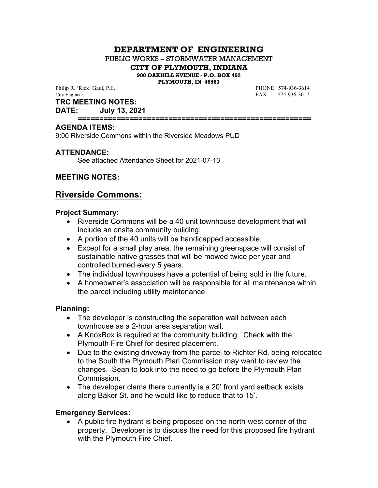# **DEPARTMENT OF ENGINEERING**

PUBLIC WORKS – STORMWATER MANAGEMENT

**CITY OF PLYMOUTH, INDIANA**

**900 OAKHILL AVENUE - P.O. BOX 492**

**PLYMOUTH, IN 46563**

Philip R. 'Rick' Gaul, P.E.<br>
City Engineer FAX 574-936-3614<br>
FAX 574-936-3017

FAX 574-936-3017

## **TRC MEETING NOTES:**

**DATE: July 13, 2021**

#### **======================================================**

#### **AGENDA ITEMS:**

9:00 Riverside Commons within the Riverside Meadows PUD

## **ATTENDANCE:**

See attached Attendance Sheet for 2021-07-13

## **MEETING NOTES:**

## **Riverside Commons:**

#### **Project Summary**:

- Riverside Commons will be a 40 unit townhouse development that will include an onsite community building.
- A portion of the 40 units will be handicapped accessible.
- Except for a small play area, the remaining greenspace will consist of sustainable native grasses that will be mowed twice per year and controlled burned every 5 years.
- The individual townhouses have a potential of being sold in the future.
- A homeowner's association will be responsible for all maintenance within the parcel including utility maintenance.

#### **Planning:**

- The developer is constructing the separation wall between each townhouse as a 2-hour area separation wall.
- A KnoxBox is required at the community building. Check with the Plymouth Fire Chief for desired placement.
- Due to the existing driveway from the parcel to Richter Rd. being relocated to the South the Plymouth Plan Commission may want to review the changes. Sean to look into the need to go before the Plymouth Plan Commission.
- The developer clams there currently is a 20' front yard setback exists along Baker St. and he would like to reduce that to 15'.

#### **Emergency Services:**

 A public fire hydrant is being proposed on the north-west corner of the property. Developer is to discuss the need for this proposed fire hydrant with the Plymouth Fire Chief.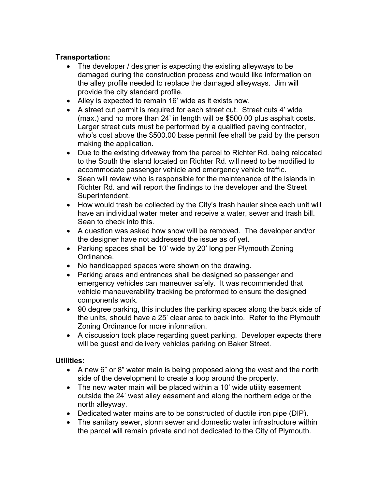## **Transportation:**

- The developer / designer is expecting the existing alleyways to be damaged during the construction process and would like information on the alley profile needed to replace the damaged alleyways. Jim will provide the city standard profile.
- Alley is expected to remain 16' wide as it exists now.
- A street cut permit is required for each street cut. Street cuts 4' wide (max.) and no more than 24' in length will be \$500.00 plus asphalt costs. Larger street cuts must be performed by a qualified paving contractor, who's cost above the \$500.00 base permit fee shall be paid by the person making the application.
- Due to the existing driveway from the parcel to Richter Rd. being relocated to the South the island located on Richter Rd. will need to be modified to accommodate passenger vehicle and emergency vehicle traffic.
- Sean will review who is responsible for the maintenance of the islands in Richter Rd. and will report the findings to the developer and the Street Superintendent.
- How would trash be collected by the City's trash hauler since each unit will have an individual water meter and receive a water, sewer and trash bill. Sean to check into this.
- A question was asked how snow will be removed. The developer and/or the designer have not addressed the issue as of yet.
- Parking spaces shall be 10' wide by 20' long per Plymouth Zoning Ordinance.
- No handicapped spaces were shown on the drawing.
- Parking areas and entrances shall be designed so passenger and emergency vehicles can maneuver safely. It was recommended that vehicle maneuverability tracking be preformed to ensure the designed components work.
- 90 degree parking, this includes the parking spaces along the back side of the units, should have a 25' clear area to back into. Refer to the Plymouth Zoning Ordinance for more information.
- A discussion took place regarding guest parking. Developer expects there will be guest and delivery vehicles parking on Baker Street.

## **Utilities:**

- A new 6" or 8" water main is being proposed along the west and the north side of the development to create a loop around the property.
- The new water main will be placed within a 10' wide utility easement outside the 24' west alley easement and along the northern edge or the north alleyway.
- Dedicated water mains are to be constructed of ductile iron pipe (DIP).
- The sanitary sewer, storm sewer and domestic water infrastructure within the parcel will remain private and not dedicated to the City of Plymouth.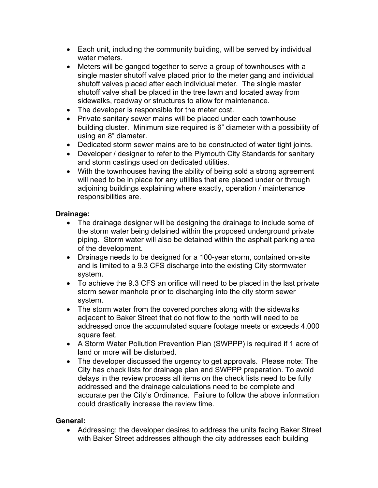- Each unit, including the community building, will be served by individual water meters.
- Meters will be ganged together to serve a group of townhouses with a single master shutoff valve placed prior to the meter gang and individual shutoff valves placed after each individual meter. The single master shutoff valve shall be placed in the tree lawn and located away from sidewalks, roadway or structures to allow for maintenance.
- The developer is responsible for the meter cost.
- Private sanitary sewer mains will be placed under each townhouse building cluster. Minimum size required is 6" diameter with a possibility of using an 8" diameter.
- Dedicated storm sewer mains are to be constructed of water tight joints.
- Developer / designer to refer to the Plymouth City Standards for sanitary and storm castings used on dedicated utilities.
- With the townhouses having the ability of being sold a strong agreement will need to be in place for any utilities that are placed under or through adjoining buildings explaining where exactly, operation / maintenance responsibilities are.

## **Drainage:**

- The drainage designer will be designing the drainage to include some of the storm water being detained within the proposed underground private piping. Storm water will also be detained within the asphalt parking area of the development.
- Drainage needs to be designed for a 100-year storm, contained on-site and is limited to a 9.3 CFS discharge into the existing City stormwater system.
- To achieve the 9.3 CFS an orifice will need to be placed in the last private storm sewer manhole prior to discharging into the city storm sewer system.
- The storm water from the covered porches along with the sidewalks adjacent to Baker Street that do not flow to the north will need to be addressed once the accumulated square footage meets or exceeds 4,000 square feet.
- A Storm Water Pollution Prevention Plan (SWPPP) is required if 1 acre of land or more will be disturbed.
- The developer discussed the urgency to get approvals. Please note: The City has check lists for drainage plan and SWPPP preparation. To avoid delays in the review process all items on the check lists need to be fully addressed and the drainage calculations need to be complete and accurate per the City's Ordinance. Failure to follow the above information could drastically increase the review time.

## **General:**

 Addressing: the developer desires to address the units facing Baker Street with Baker Street addresses although the city addresses each building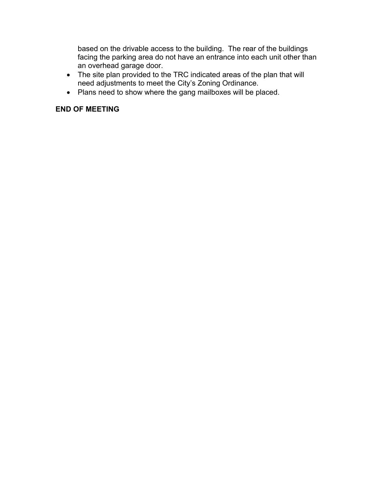based on the drivable access to the building. The rear of the buildings facing the parking area do not have an entrance into each unit other than an overhead garage door.

- The site plan provided to the TRC indicated areas of the plan that will need adjustments to meet the City's Zoning Ordinance.
- Plans need to show where the gang mailboxes will be placed.

# **END OF MEETING**